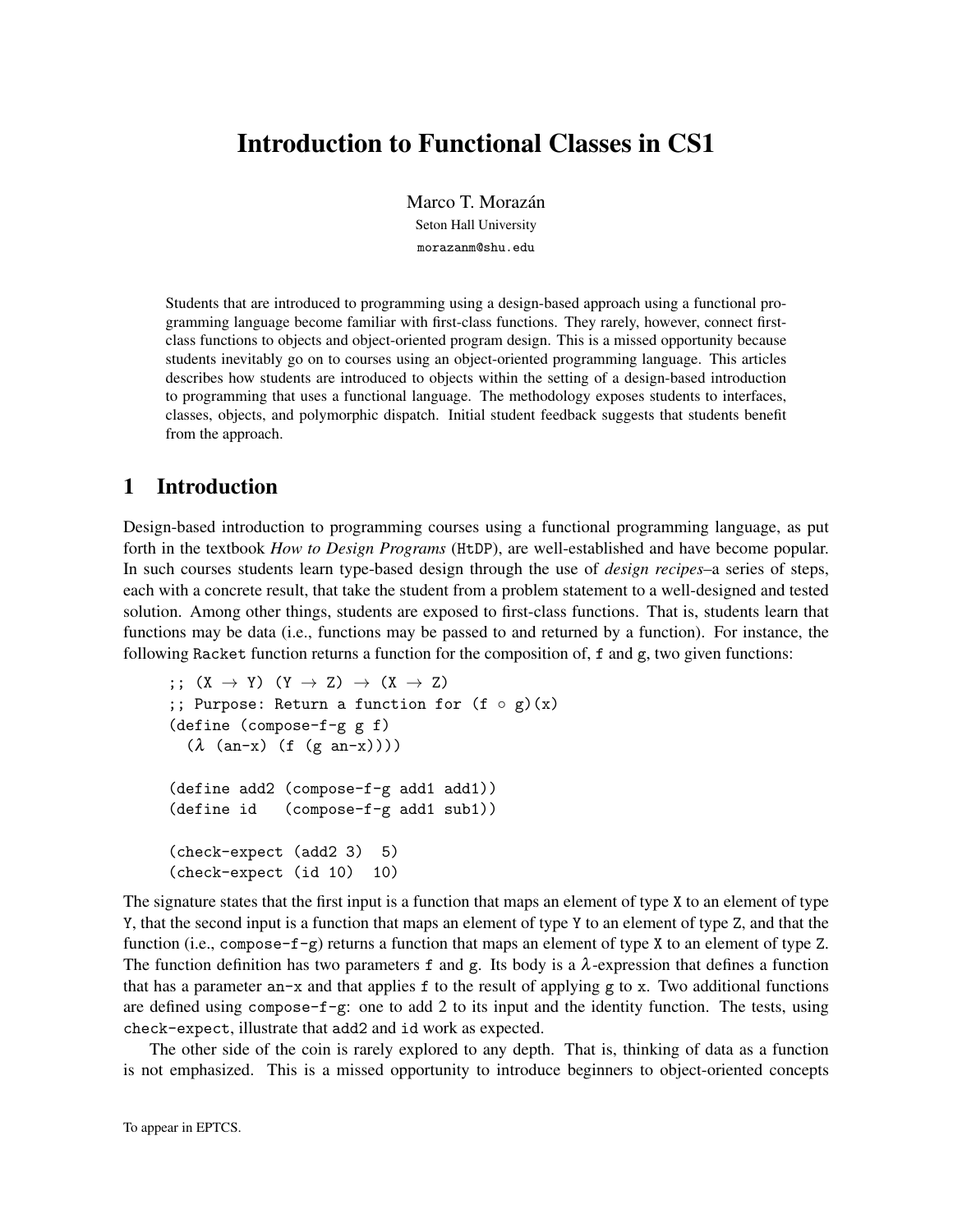# Introduction to Functional Classes in CS1

Marco T. Morazán Seton Hall University morazanm@shu.edu

Students that are introduced to programming using a design-based approach using a functional programming language become familiar with first-class functions. They rarely, however, connect firstclass functions to objects and object-oriented program design. This is a missed opportunity because students inevitably go on to courses using an object-oriented programming language. This articles describes how students are introduced to objects within the setting of a design-based introduction to programming that uses a functional language. The methodology exposes students to interfaces, classes, objects, and polymorphic dispatch. Initial student feedback suggests that students benefit from the approach.

## 1 Introduction

Design-based introduction to programming courses using a functional programming language, as put forth in the textbook *How to Design Programs* (HtDP), are well-established and have become popular. In such courses students learn type-based design through the use of *design recipes*–a series of steps, each with a concrete result, that take the student from a problem statement to a well-designed and tested solution. Among other things, students are exposed to first-class functions. That is, students learn that functions may be data (i.e., functions may be passed to and returned by a function). For instance, the following Racket function returns a function for the composition of, f and g, two given functions:

```
;; (X \rightarrow Y) (Y \rightarrow Z) \rightarrow (X \rightarrow Z);; Purpose: Return a function for (f \circ g)(x)(define (compose-f-g g f)
  (\lambda \text{ (an-x) (f (g an-x))))(define add2 (compose-f-g add1 add1))
(define id (compose-f-g add1 sub1))
(check-expect (add2 3) 5)
(check-expect (id 10) 10)
```
The signature states that the first input is a function that maps an element of type X to an element of type Y, that the second input is a function that maps an element of type Y to an element of type Z, and that the function (i.e., compose- $f-g$ ) returns a function that maps an element of type X to an element of type Z. The function definition has two parameters f and g. Its body is a  $\lambda$ -expression that defines a function that has a parameter  $an-x$  and that applies f to the result of applying g to x. Two additional functions are defined using compose- $f-g$ : one to add 2 to its input and the identity function. The tests, using check-expect, illustrate that add2 and id work as expected.

The other side of the coin is rarely explored to any depth. That is, thinking of data as a function is not emphasized. This is a missed opportunity to introduce beginners to object-oriented concepts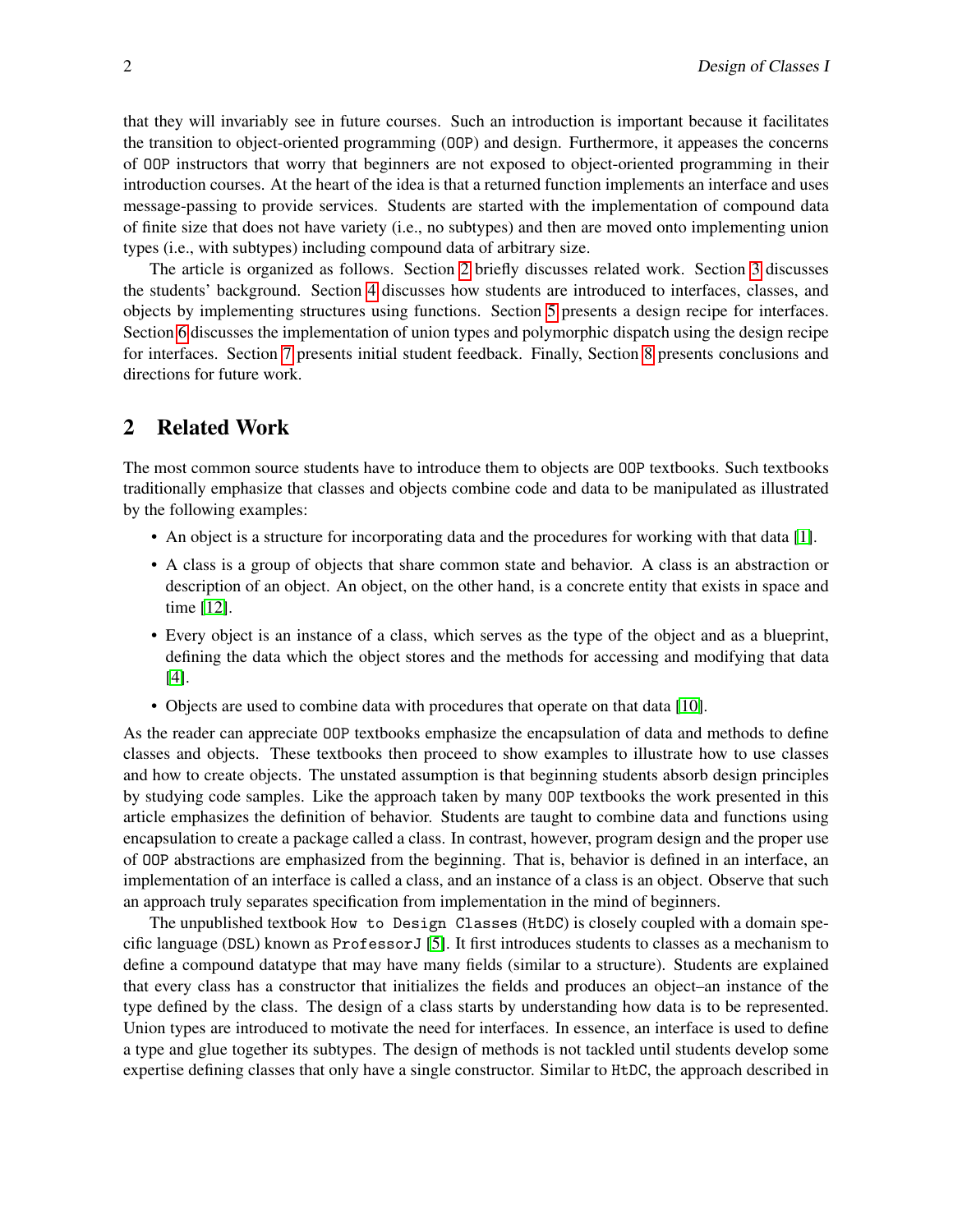that they will invariably see in future courses. Such an introduction is important because it facilitates the transition to object-oriented programming (OOP) and design. Furthermore, it appeases the concerns of OOP instructors that worry that beginners are not exposed to object-oriented programming in their introduction courses. At the heart of the idea is that a returned function implements an interface and uses message-passing to provide services. Students are started with the implementation of compound data of finite size that does not have variety (i.e., no subtypes) and then are moved onto implementing union types (i.e., with subtypes) including compound data of arbitrary size.

The article is organized as follows. Section [2](#page-1-0) briefly discusses related work. Section [3](#page-2-0) discusses the students' background. Section [4](#page-3-0) discusses how students are introduced to interfaces, classes, and objects by implementing structures using functions. Section [5](#page-9-0) presents a design recipe for interfaces. Section [6](#page-10-0) discusses the implementation of union types and polymorphic dispatch using the design recipe for interfaces. Section [7](#page-15-0) presents initial student feedback. Finally, Section [8](#page-15-1) presents conclusions and directions for future work.

### <span id="page-1-0"></span>2 Related Work

The most common source students have to introduce them to objects are OOP textbooks. Such textbooks traditionally emphasize that classes and objects combine code and data to be manipulated as illustrated by the following examples:

- An object is a structure for incorporating data and the procedures for working with that data [\[1\]](#page-16-0).
- A class is a group of objects that share common state and behavior. A class is an abstraction or description of an object. An object, on the other hand, is a concrete entity that exists in space and time [\[12\]](#page-16-1).
- Every object is an instance of a class, which serves as the type of the object and as a blueprint, defining the data which the object stores and the methods for accessing and modifying that data [\[4\]](#page-16-2).
- Objects are used to combine data with procedures that operate on that data [\[10\]](#page-16-3).

As the reader can appreciate OOP textbooks emphasize the encapsulation of data and methods to define classes and objects. These textbooks then proceed to show examples to illustrate how to use classes and how to create objects. The unstated assumption is that beginning students absorb design principles by studying code samples. Like the approach taken by many OOP textbooks the work presented in this article emphasizes the definition of behavior. Students are taught to combine data and functions using encapsulation to create a package called a class. In contrast, however, program design and the proper use of OOP abstractions are emphasized from the beginning. That is, behavior is defined in an interface, an implementation of an interface is called a class, and an instance of a class is an object. Observe that such an approach truly separates specification from implementation in the mind of beginners.

The unpublished textbook How to Design Classes (HtDC) is closely coupled with a domain specific language (DSL) known as ProfessorJ [\[5\]](#page-16-4). It first introduces students to classes as a mechanism to define a compound datatype that may have many fields (similar to a structure). Students are explained that every class has a constructor that initializes the fields and produces an object–an instance of the type defined by the class. The design of a class starts by understanding how data is to be represented. Union types are introduced to motivate the need for interfaces. In essence, an interface is used to define a type and glue together its subtypes. The design of methods is not tackled until students develop some expertise defining classes that only have a single constructor. Similar to HtDC, the approach described in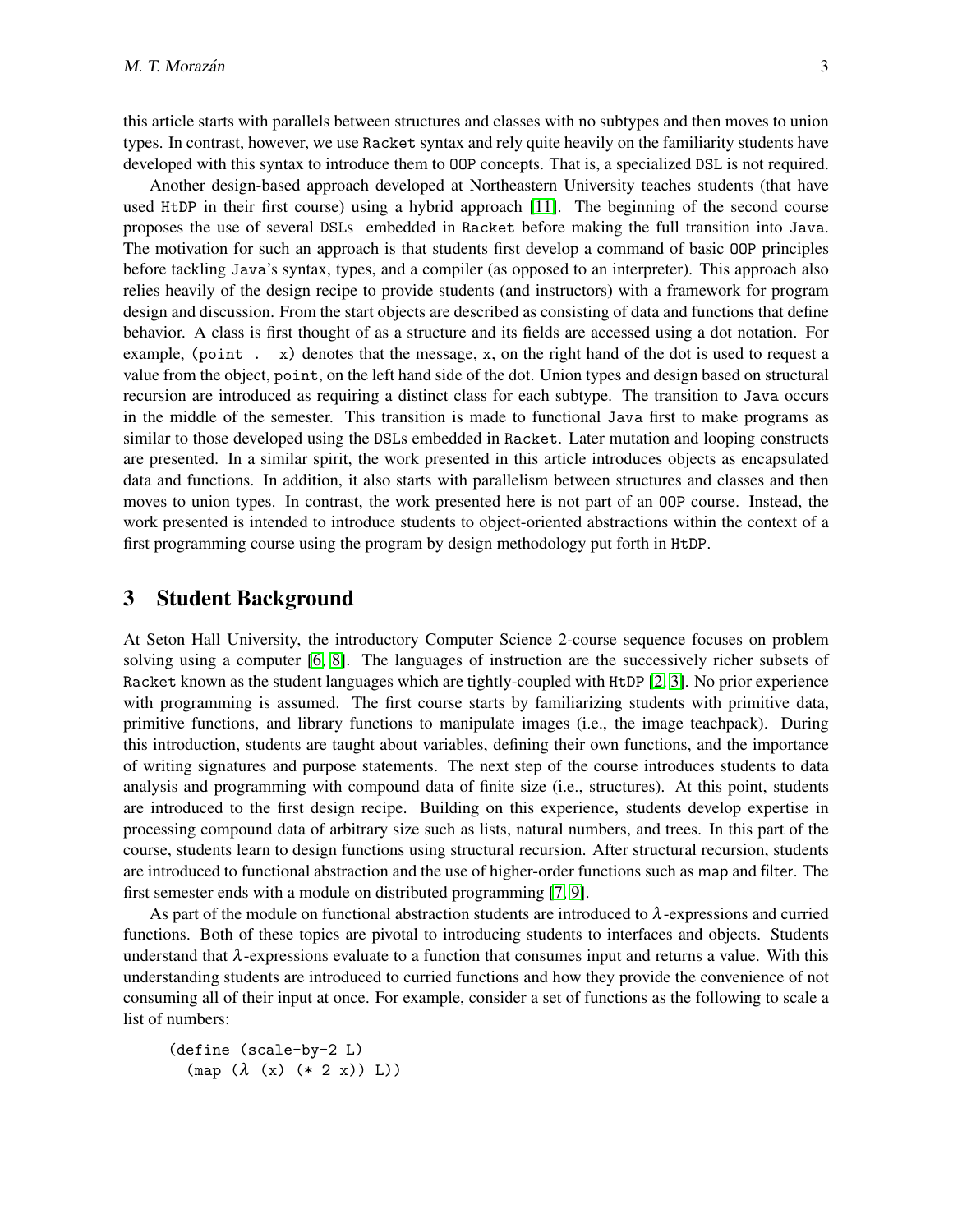this article starts with parallels between structures and classes with no subtypes and then moves to union types. In contrast, however, we use Racket syntax and rely quite heavily on the familiarity students have developed with this syntax to introduce them to OOP concepts. That is, a specialized DSL is not required.

Another design-based approach developed at Northeastern University teaches students (that have used HtDP in their first course) using a hybrid approach [\[11\]](#page-16-5). The beginning of the second course proposes the use of several DSLs embedded in Racket before making the full transition into Java. The motivation for such an approach is that students first develop a command of basic OOP principles before tackling Java's syntax, types, and a compiler (as opposed to an interpreter). This approach also relies heavily of the design recipe to provide students (and instructors) with a framework for program design and discussion. From the start objects are described as consisting of data and functions that define behavior. A class is first thought of as a structure and its fields are accessed using a dot notation. For example, (point  $\cdot$  x) denotes that the message, x, on the right hand of the dot is used to request a value from the object, point, on the left hand side of the dot. Union types and design based on structural recursion are introduced as requiring a distinct class for each subtype. The transition to Java occurs in the middle of the semester. This transition is made to functional Java first to make programs as similar to those developed using the DSLs embedded in Racket. Later mutation and looping constructs are presented. In a similar spirit, the work presented in this article introduces objects as encapsulated data and functions. In addition, it also starts with parallelism between structures and classes and then moves to union types. In contrast, the work presented here is not part of an OOP course. Instead, the work presented is intended to introduce students to object-oriented abstractions within the context of a first programming course using the program by design methodology put forth in HtDP.

### <span id="page-2-0"></span>3 Student Background

At Seton Hall University, the introductory Computer Science 2-course sequence focuses on problem solving using a computer [\[6,](#page-16-6) [8\]](#page-16-7). The languages of instruction are the successively richer subsets of Racket known as the student languages which are tightly-coupled with HtDP [\[2,](#page-16-8) [3\]](#page-16-9). No prior experience with programming is assumed. The first course starts by familiarizing students with primitive data, primitive functions, and library functions to manipulate images (i.e., the image teachpack). During this introduction, students are taught about variables, defining their own functions, and the importance of writing signatures and purpose statements. The next step of the course introduces students to data analysis and programming with compound data of finite size (i.e., structures). At this point, students are introduced to the first design recipe. Building on this experience, students develop expertise in processing compound data of arbitrary size such as lists, natural numbers, and trees. In this part of the course, students learn to design functions using structural recursion. After structural recursion, students are introduced to functional abstraction and the use of higher-order functions such as map and filter. The first semester ends with a module on distributed programming [\[7,](#page-16-10) [9\]](#page-16-11).

As part of the module on functional abstraction students are introduced to  $\lambda$ -expressions and curried functions. Both of these topics are pivotal to introducing students to interfaces and objects. Students understand that  $\lambda$ -expressions evaluate to a function that consumes input and returns a value. With this understanding students are introduced to curried functions and how they provide the convenience of not consuming all of their input at once. For example, consider a set of functions as the following to scale a list of numbers:

(define (scale-by-2 L)  $(\text{map } (\lambda \ (\text{x}) \ (\text{*} 2 \ \text{x})) \ \text{L}))$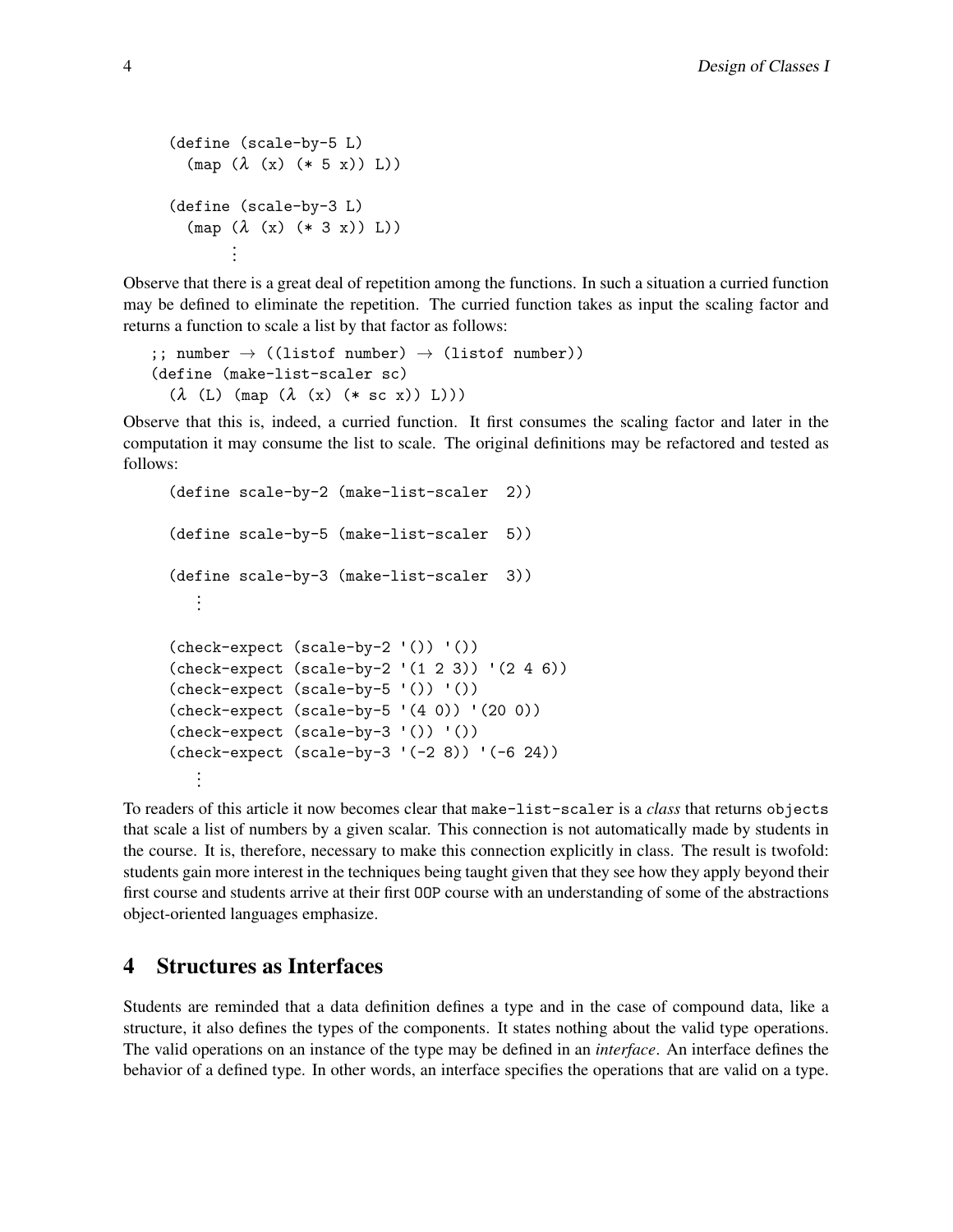```
(define (scale-by-5 L)
   (\text{map } (\lambda (x) (* 5 x)) L))(define (scale-by-3 L)
   (\text{map } (\lambda \text{ } (x) \text{ } (* 3 \text{ } x)) \text{ } L))...
```
Observe that there is a great deal of repetition among the functions. In such a situation a curried function may be defined to eliminate the repetition. The curried function takes as input the scaling factor and returns a function to scale a list by that factor as follows:

```
;; number \rightarrow ((listof number) \rightarrow (listof number))
(define (make-list-scaler sc)
  (λ (L) (map (λ (x) (* sc x)) L)))
```
Observe that this is, indeed, a curried function. It first consumes the scaling factor and later in the computation it may consume the list to scale. The original definitions may be refactored and tested as follows:

```
(define scale-by-2 (make-list-scaler 2))
(define scale-by-5 (make-list-scaler 5))
(define scale-by-3 (make-list-scaler 3))
   ...
(check-expect (scale-by-2 '()) '())
(check-expect (scale-by-2 '(1 2 3)) '(2 4 6))
(check-expect (scale-by-5 '()) '())
(check-expect (scale-by-5 '(4 0)) '(20 0))
(check-expect (scale-by-3 '()) '())
(check-expect (scale-by-3 '(-2 8)) '(-6 24))
   ...
```
To readers of this article it now becomes clear that make-list-scaler is a *class* that returns objects that scale a list of numbers by a given scalar. This connection is not automatically made by students in the course. It is, therefore, necessary to make this connection explicitly in class. The result is twofold: students gain more interest in the techniques being taught given that they see how they apply beyond their first course and students arrive at their first OOP course with an understanding of some of the abstractions object-oriented languages emphasize.

## <span id="page-3-0"></span>4 Structures as Interfaces

Students are reminded that a data definition defines a type and in the case of compound data, like a structure, it also defines the types of the components. It states nothing about the valid type operations. The valid operations on an instance of the type may be defined in an *interface*. An interface defines the behavior of a defined type. In other words, an interface specifies the operations that are valid on a type.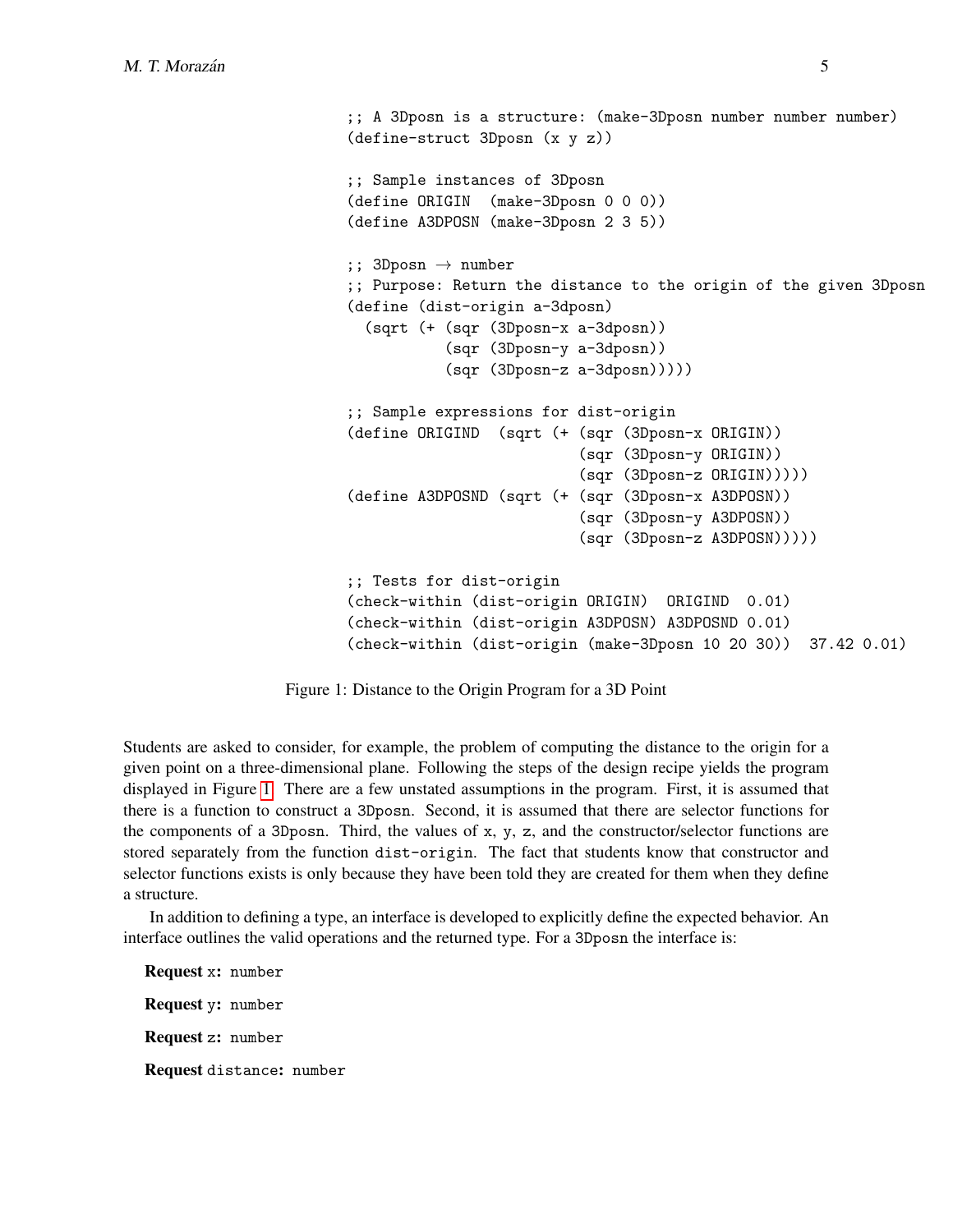```
;; A 3Dposn is a structure: (make-3Dposn number number number)
(define-struct 3Dposn (x y z))
;; Sample instances of 3Dposn
(define ORIGIN (make-3Dposn 0 0 0))
(define A3DPOSN (make-3Dposn 2 3 5))
;; 3Dposn \rightarrow number
;; Purpose: Return the distance to the origin of the given 3Dposn
(define (dist-origin a-3dposn)
  (sqrt (+ (sqr (3Dposn-x a-3dposn))
           (sqr (3Dposn-y a-3dposn))
           (sqr (3Dposn-z a-3dposn)))))
;; Sample expressions for dist-origin
(define ORIGIND (sqrt (+ (sqr (3Dposn-x ORIGIN))
                          (sqr (3Dposn-y ORIGIN))
                          (sqr (3Dposn-z ORIGIN)))))
(define A3DPOSND (sqrt (+ (sqr (3Dposn-x A3DPOSN))
                          (sqr (3Dposn-y A3DPOSN))
                          (sqr (3Dposn-z A3DPOSN)))))
;; Tests for dist-origin
(check-within (dist-origin ORIGIN) ORIGIND 0.01)
(check-within (dist-origin A3DPOSN) A3DPOSND 0.01)
(check-within (dist-origin (make-3Dposn 10 20 30)) 37.42 0.01)
```
Figure 1: Distance to the Origin Program for a 3D Point

Students are asked to consider, for example, the problem of computing the distance to the origin for a given point on a three-dimensional plane. Following the steps of the design recipe yields the program displayed in Figure [1.](#page-4-0) There are a few unstated assumptions in the program. First, it is assumed that there is a function to construct a 3Dposn. Second, it is assumed that there are selector functions for the components of a 3Dposn. Third, the values of  $x, y, z$ , and the constructor/selector functions are stored separately from the function dist-origin. The fact that students know that constructor and selector functions exists is only because they have been told they are created for them when they define a structure.

In addition to defining a type, an interface is developed to explicitly define the expected behavior. An interface outlines the valid operations and the returned type. For a 3Dposn the interface is:

Request x: number Request y: number Request z: number Request distance: number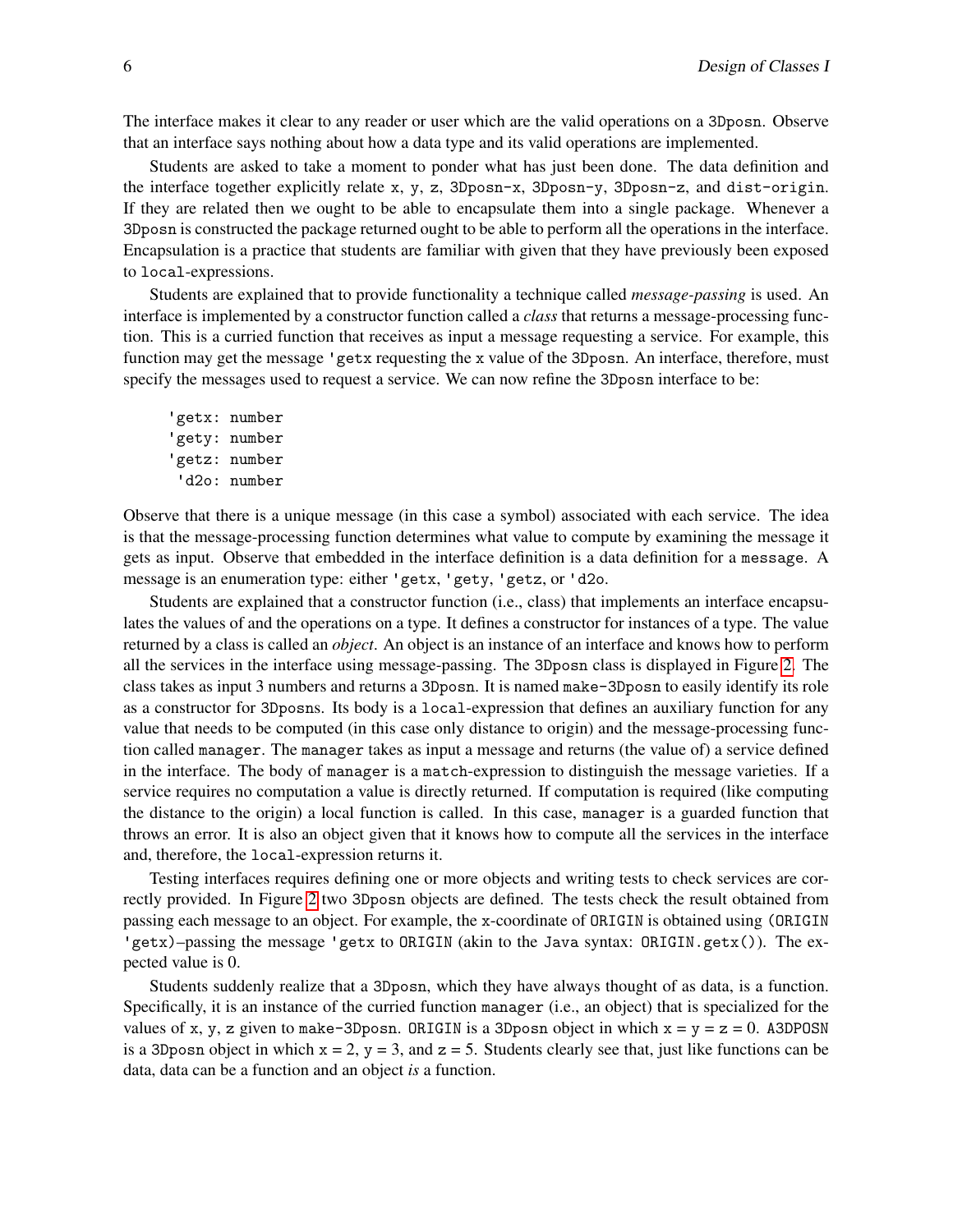The interface makes it clear to any reader or user which are the valid operations on a 3Dposn. Observe that an interface says nothing about how a data type and its valid operations are implemented.

Students are asked to take a moment to ponder what has just been done. The data definition and the interface together explicitly relate x, y, z, 3Dposn-x, 3Dposn-y, 3Dposn-z, and dist-origin. If they are related then we ought to be able to encapsulate them into a single package. Whenever a 3Dposn is constructed the package returned ought to be able to perform all the operations in the interface. Encapsulation is a practice that students are familiar with given that they have previously been exposed to local-expressions.

Students are explained that to provide functionality a technique called *message-passing* is used. An interface is implemented by a constructor function called a *class* that returns a message-processing function. This is a curried function that receives as input a message requesting a service. For example, this function may get the message 'getx requesting the x value of the 3Dposn. An interface, therefore, must specify the messages used to request a service. We can now refine the 3Dposn interface to be:

'getx: number 'gety: number 'getz: number 'd2o: number

Observe that there is a unique message (in this case a symbol) associated with each service. The idea is that the message-processing function determines what value to compute by examining the message it gets as input. Observe that embedded in the interface definition is a data definition for a message. A message is an enumeration type: either 'getx, 'gety, 'getz, or 'd2o.

Students are explained that a constructor function (i.e., class) that implements an interface encapsulates the values of and the operations on a type. It defines a constructor for instances of a type. The value returned by a class is called an *object*. An object is an instance of an interface and knows how to perform all the services in the interface using message-passing. The 3Dposn class is displayed in Figure [2.](#page-6-0) The class takes as input 3 numbers and returns a 3Dposn. It is named make-3Dposn to easily identify its role as a constructor for 3Dposns. Its body is a local-expression that defines an auxiliary function for any value that needs to be computed (in this case only distance to origin) and the message-processing function called manager. The manager takes as input a message and returns (the value of) a service defined in the interface. The body of manager is a match-expression to distinguish the message varieties. If a service requires no computation a value is directly returned. If computation is required (like computing the distance to the origin) a local function is called. In this case, manager is a guarded function that throws an error. It is also an object given that it knows how to compute all the services in the interface and, therefore, the local-expression returns it.

Testing interfaces requires defining one or more objects and writing tests to check services are correctly provided. In Figure [2](#page-6-0) two 3Dposn objects are defined. The tests check the result obtained from passing each message to an object. For example, the x-coordinate of ORIGIN is obtained using (ORIGIN 'getx)–passing the message 'getx to ORIGIN (akin to the Java syntax: ORIGIN.getx()). The expected value is 0.

Students suddenly realize that a 3Dposn, which they have always thought of as data, is a function. Specifically, it is an instance of the curried function manager (i.e., an object) that is specialized for the values of x, y, z given to make-3Dposn. ORIGIN is a 3Dposn object in which  $x = y = z = 0$ . A3DPOSN is a 3Dposn object in which  $x = 2$ ,  $y = 3$ , and  $z = 5$ . Students clearly see that, just like functions can be data, data can be a function and an object *is* a function.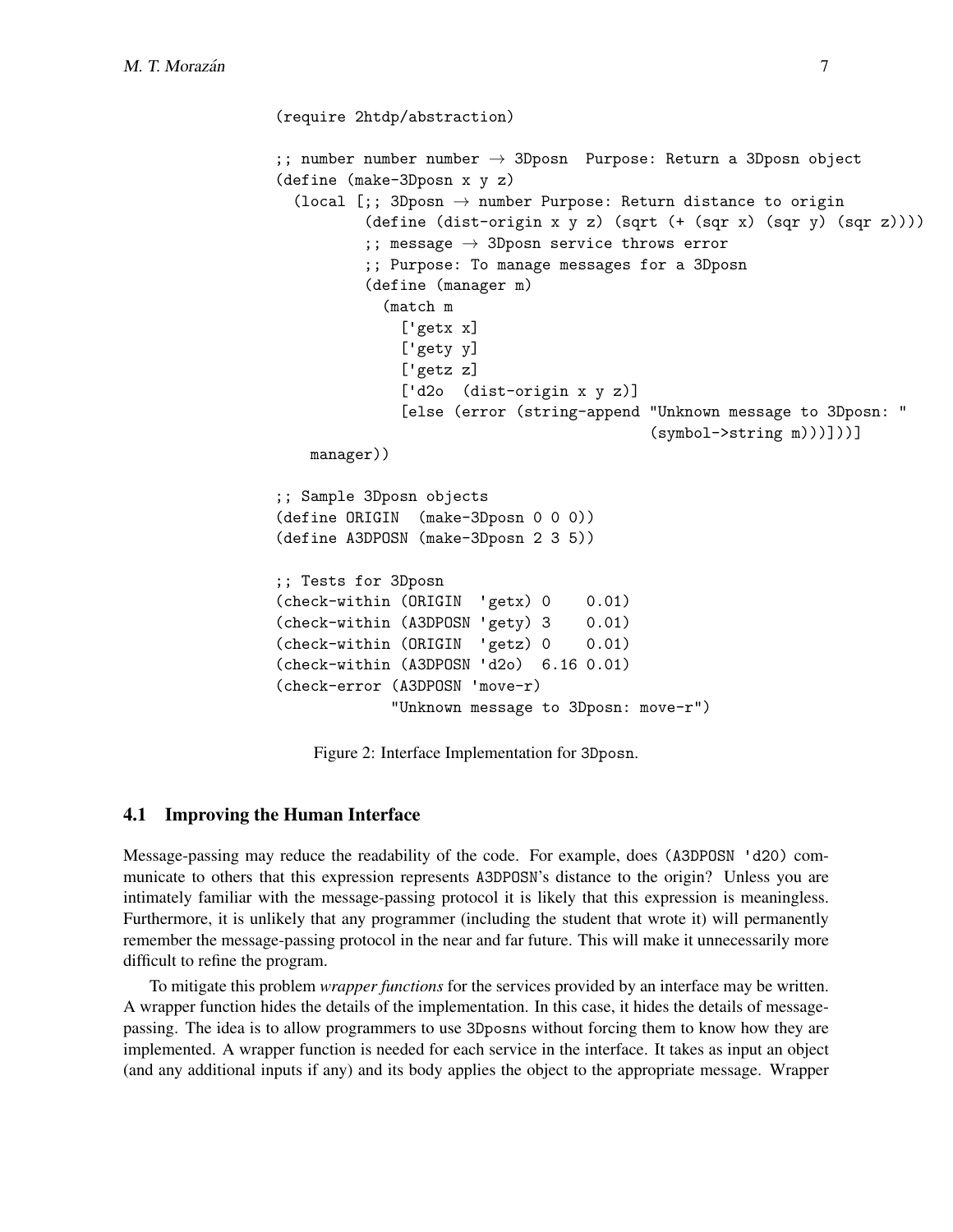```
(require 2htdp/abstraction)
;; number number number \rightarrow 3Dposn Purpose: Return a 3Dposn object
(define (make-3Dposn x y z)
  (local [;; 3Dposn \rightarrow number Purpose: Return distance to origin
          (define (dist-origin x y z) (sqrt (+ (sqr x) (sqr y) (sqr z))))
          ;; message \rightarrow 3Dposn service throws error
          ;; Purpose: To manage messages for a 3Dposn
          (define (manager m)
            (match m
              ['getx x]
              ['gety y]
              ['getz z]
              ['d2o (dist-origin x y z)]
              [else (error (string-append "Unknown message to 3Dposn: "
                                           (symbol->string m)))]))]
   manager))
;; Sample 3Dposn objects
(define ORIGIN (make-3Dposn 0 0 0))
(define A3DPOSN (make-3Dposn 2 3 5))
;; Tests for 3Dposn
(check-within (ORIGIN 'getx) 0 0.01)
(check-within (A3DPOSN 'gety) 3 0.01)
(check-within (ORIGIN 'getz) 0 0.01)
(check-within (A3DPOSN 'd2o) 6.16 0.01)
(check-error (A3DPOSN 'move-r)
             "Unknown message to 3Dposn: move-r")
```
Figure 2: Interface Implementation for 3Dposn.

#### 4.1 Improving the Human Interface

Message-passing may reduce the readability of the code. For example, does (A3DPOSN 'd20) communicate to others that this expression represents A3DPOSN's distance to the origin? Unless you are intimately familiar with the message-passing protocol it is likely that this expression is meaningless. Furthermore, it is unlikely that any programmer (including the student that wrote it) will permanently remember the message-passing protocol in the near and far future. This will make it unnecessarily more difficult to refine the program.

To mitigate this problem *wrapper functions* for the services provided by an interface may be written. A wrapper function hides the details of the implementation. In this case, it hides the details of messagepassing. The idea is to allow programmers to use 3Dposns without forcing them to know how they are implemented. A wrapper function is needed for each service in the interface. It takes as input an object (and any additional inputs if any) and its body applies the object to the appropriate message. Wrapper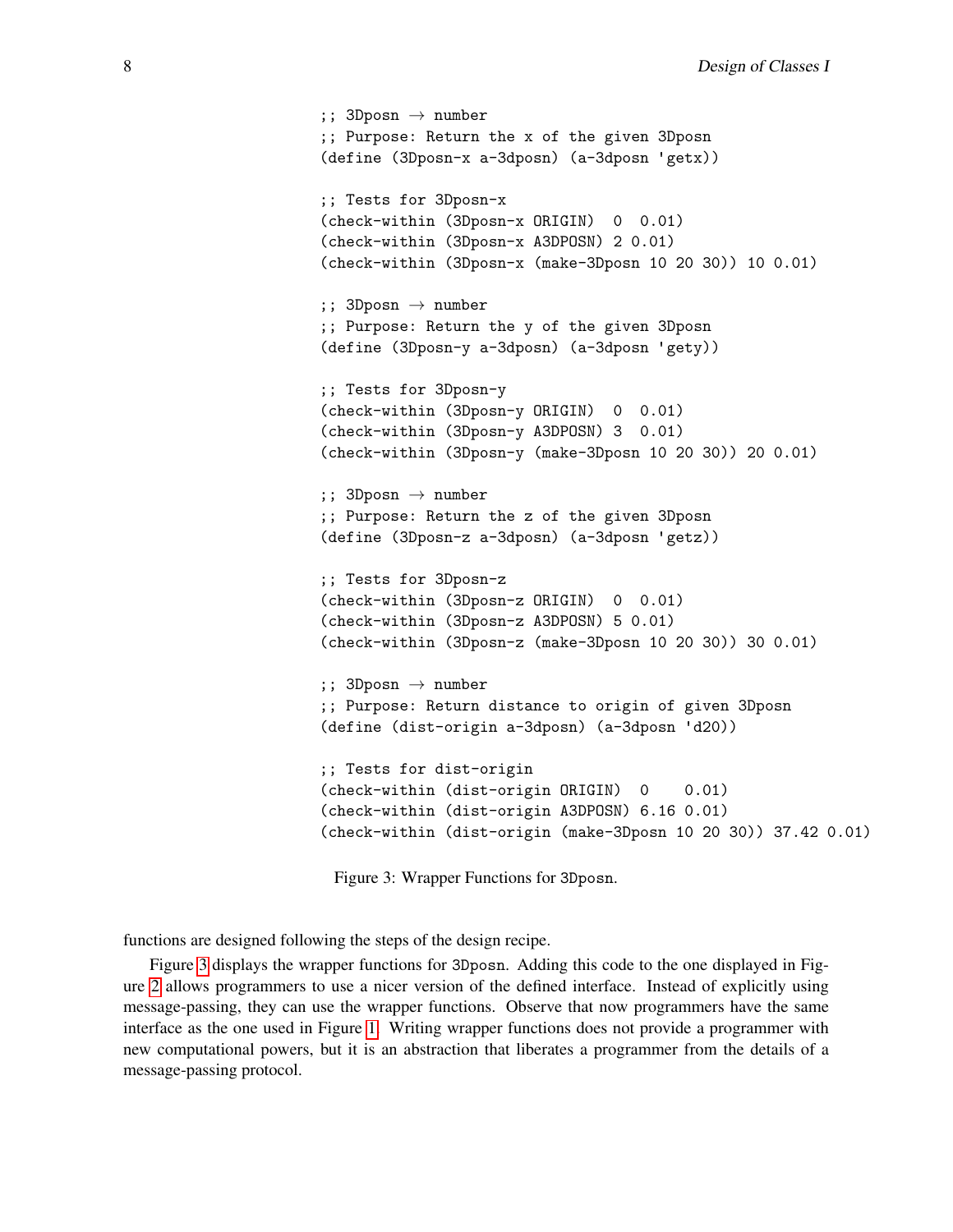```
;; 3Dposn \rightarrow number
;; Purpose: Return the x of the given 3Dposn
(define (3Dposn-x a-3dposn) (a-3dposn 'getx))
;; Tests for 3Dposn-x
(check-within (3Dposn-x ORIGIN) 0 0.01)
(check-within (3Dposn-x A3DPOSN) 2 0.01)
(check-within (3Dposn-x (make-3Dposn 10 20 30)) 10 0.01)
;; 3Dposn \rightarrow number
;; Purpose: Return the y of the given 3Dposn
(define (3Dposn-y a-3dposn) (a-3dposn 'gety))
;; Tests for 3Dposn-y
(check-within (3Dposn-y ORIGIN) 0 0.01)
(check-within (3Dposn-y A3DPOSN) 3 0.01)
(check-within (3Dposn-y (make-3Dposn 10 20 30)) 20 0.01)
;; 3Dposn \rightarrow number
;; Purpose: Return the z of the given 3Dposn
(define (3Dposn-z a-3dposn) (a-3dposn 'getz))
;; Tests for 3Dposn-z
(check-within (3Dposn-z ORIGIN) 0 0.01)
(check-within (3Dposn-z A3DPOSN) 5 0.01)
(check-within (3Dposn-z (make-3Dposn 10 20 30)) 30 0.01)
;; 3Dposn \rightarrow number
;; Purpose: Return distance to origin of given 3Dposn
(define (dist-origin a-3dposn) (a-3dposn 'd20))
;; Tests for dist-origin
(check-within (dist-origin ORIGIN) 0 0.01)
(check-within (dist-origin A3DPOSN) 6.16 0.01)
(check-within (dist-origin (make-3Dposn 10 20 30)) 37.42 0.01)
```
Figure 3: Wrapper Functions for 3Dposn.

functions are designed following the steps of the design recipe.

Figure [3](#page-7-0) displays the wrapper functions for 3Dposn. Adding this code to the one displayed in Figure [2](#page-6-0) allows programmers to use a nicer version of the defined interface. Instead of explicitly using message-passing, they can use the wrapper functions. Observe that now programmers have the same interface as the one used in Figure [1.](#page-4-0) Writing wrapper functions does not provide a programmer with new computational powers, but it is an abstraction that liberates a programmer from the details of a message-passing protocol.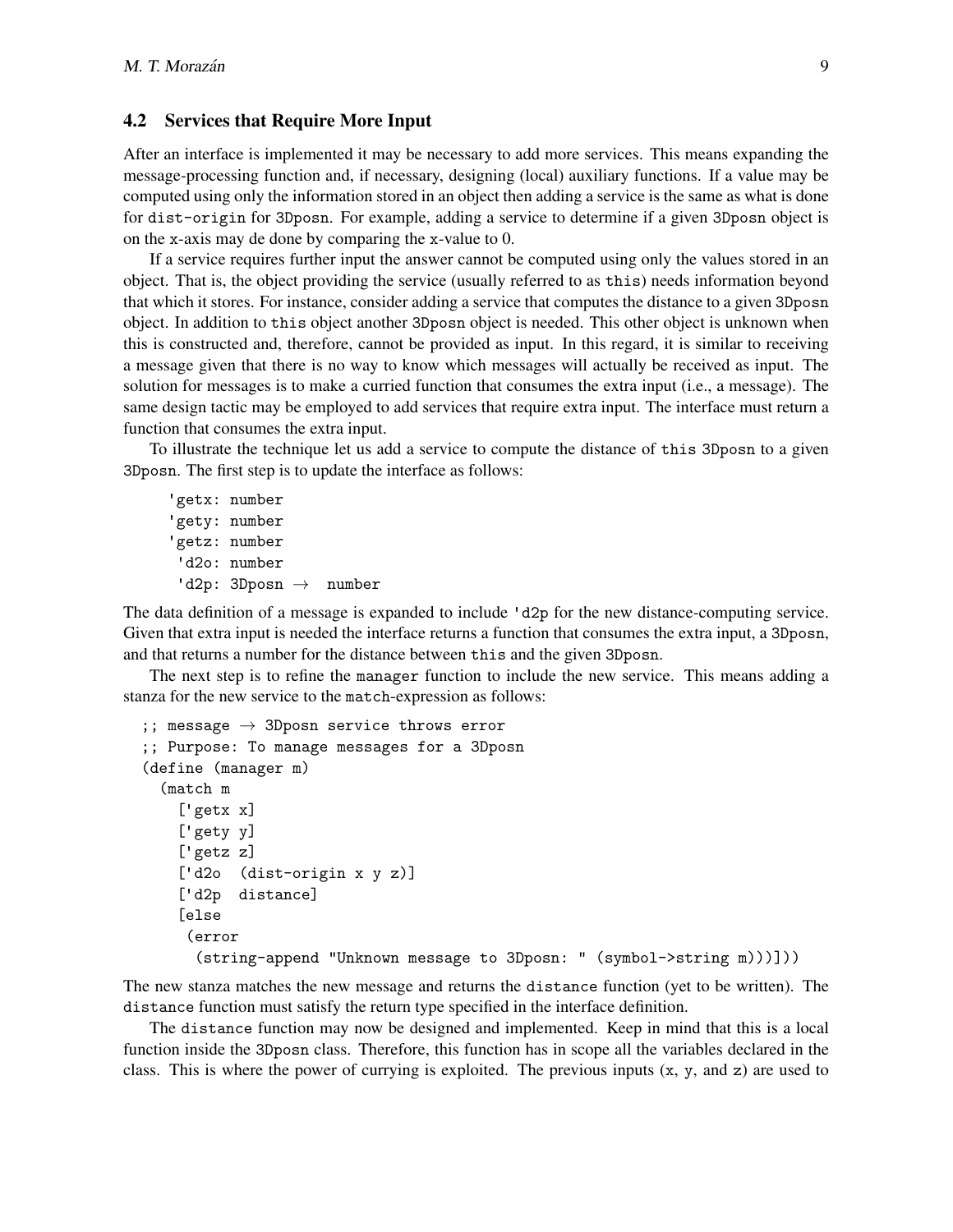#### 4.2 Services that Require More Input

After an interface is implemented it may be necessary to add more services. This means expanding the message-processing function and, if necessary, designing (local) auxiliary functions. If a value may be computed using only the information stored in an object then adding a service is the same as what is done for dist-origin for 3Dposn. For example, adding a service to determine if a given 3Dposn object is on the x-axis may de done by comparing the x-value to 0.

If a service requires further input the answer cannot be computed using only the values stored in an object. That is, the object providing the service (usually referred to as this) needs information beyond that which it stores. For instance, consider adding a service that computes the distance to a given 3Dposn object. In addition to this object another 3Dposn object is needed. This other object is unknown when this is constructed and, therefore, cannot be provided as input. In this regard, it is similar to receiving a message given that there is no way to know which messages will actually be received as input. The solution for messages is to make a curried function that consumes the extra input (i.e., a message). The same design tactic may be employed to add services that require extra input. The interface must return a function that consumes the extra input.

To illustrate the technique let us add a service to compute the distance of this 3Dposn to a given 3Dposn. The first step is to update the interface as follows:

```
'getx: number
'gety: number
'getz: number
'd2o: number
 'd2p: 3Dposn \rightarrow number
```
The data definition of a message is expanded to include 'd2p for the new distance-computing service. Given that extra input is needed the interface returns a function that consumes the extra input, a 3Dposn, and that returns a number for the distance between this and the given 3Dposn.

The next step is to refine the manager function to include the new service. This means adding a stanza for the new service to the match-expression as follows:

```
;; message \rightarrow 3Dposn service throws error
;; Purpose: To manage messages for a 3Dposn
(define (manager m)
  (match m
    ['getx x]
    ['gety y]
    ['getz z]
    ['d2o (dist-origin x y z)]
    ['d2p distance]
    [else
     (error
      (string-append "Unknown message to 3Dposn: " (symbol->string m)))]))
```
The new stanza matches the new message and returns the distance function (yet to be written). The distance function must satisfy the return type specified in the interface definition.

The distance function may now be designed and implemented. Keep in mind that this is a local function inside the 3Dposn class. Therefore, this function has in scope all the variables declared in the class. This is where the power of currying is exploited. The previous inputs  $(x, y, and z)$  are used to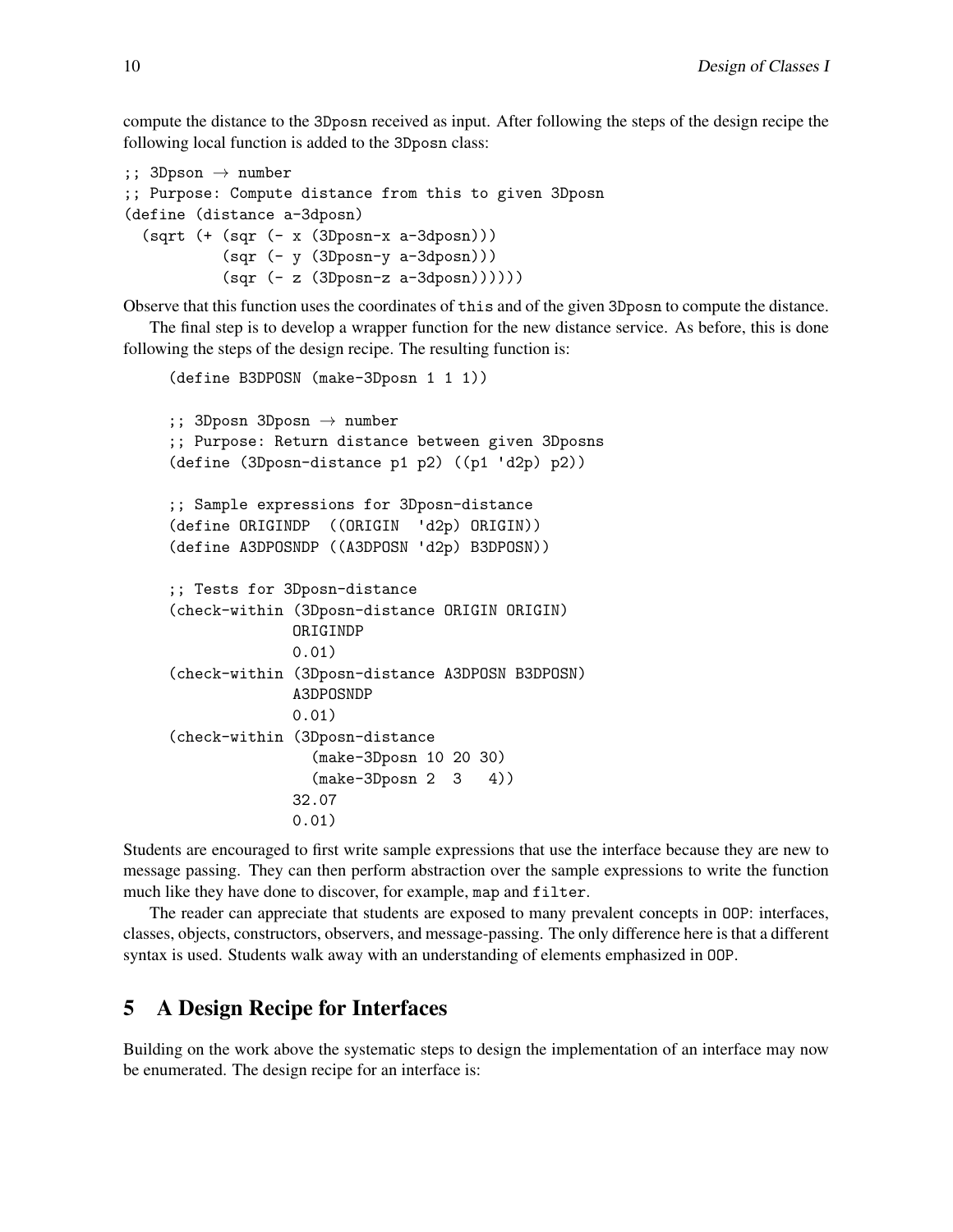compute the distance to the 3Dposn received as input. After following the steps of the design recipe the following local function is added to the 3Dposn class:

```
;; 3Dpson \rightarrow number
;; Purpose: Compute distance from this to given 3Dposn
(define (distance a-3dposn)
  (sqrt (+ (sqr (- x (3Dposn-x a-3dposn)))(sqr (- y (3Dposn-y a-3dposn)))(sqr (- z (3Dposn-z a-3dposn))))))
```
Observe that this function uses the coordinates of this and of the given 3Dposn to compute the distance.

The final step is to develop a wrapper function for the new distance service. As before, this is done following the steps of the design recipe. The resulting function is:

```
(define B3DPOSN (make-3Dposn 1 1 1))
;; 3Dposn 3Dposn \rightarrow number
;; Purpose: Return distance between given 3Dposns
(define (3Dposn-distance p1 p2) ((p1 'd2p) p2))
;; Sample expressions for 3Dposn-distance
(define ORIGINDP ((ORIGIN 'd2p) ORIGIN))
(define A3DPOSNDP ((A3DPOSN 'd2p) B3DPOSN))
;; Tests for 3Dposn-distance
(check-within (3Dposn-distance ORIGIN ORIGIN)
              ORIGINDP
              0.01)
(check-within (3Dposn-distance A3DPOSN B3DPOSN)
              A3DPOSNDP
              0.01)
(check-within (3Dposn-distance
                (make-3Dposn 10 20 30)
                (make-3Dposn 2 3 4))
              32.07
              0.01)
```
Students are encouraged to first write sample expressions that use the interface because they are new to message passing. They can then perform abstraction over the sample expressions to write the function much like they have done to discover, for example, map and filter.

The reader can appreciate that students are exposed to many prevalent concepts in OOP: interfaces, classes, objects, constructors, observers, and message-passing. The only difference here is that a different syntax is used. Students walk away with an understanding of elements emphasized in OOP.

### <span id="page-9-0"></span>5 A Design Recipe for Interfaces

Building on the work above the systematic steps to design the implementation of an interface may now be enumerated. The design recipe for an interface is: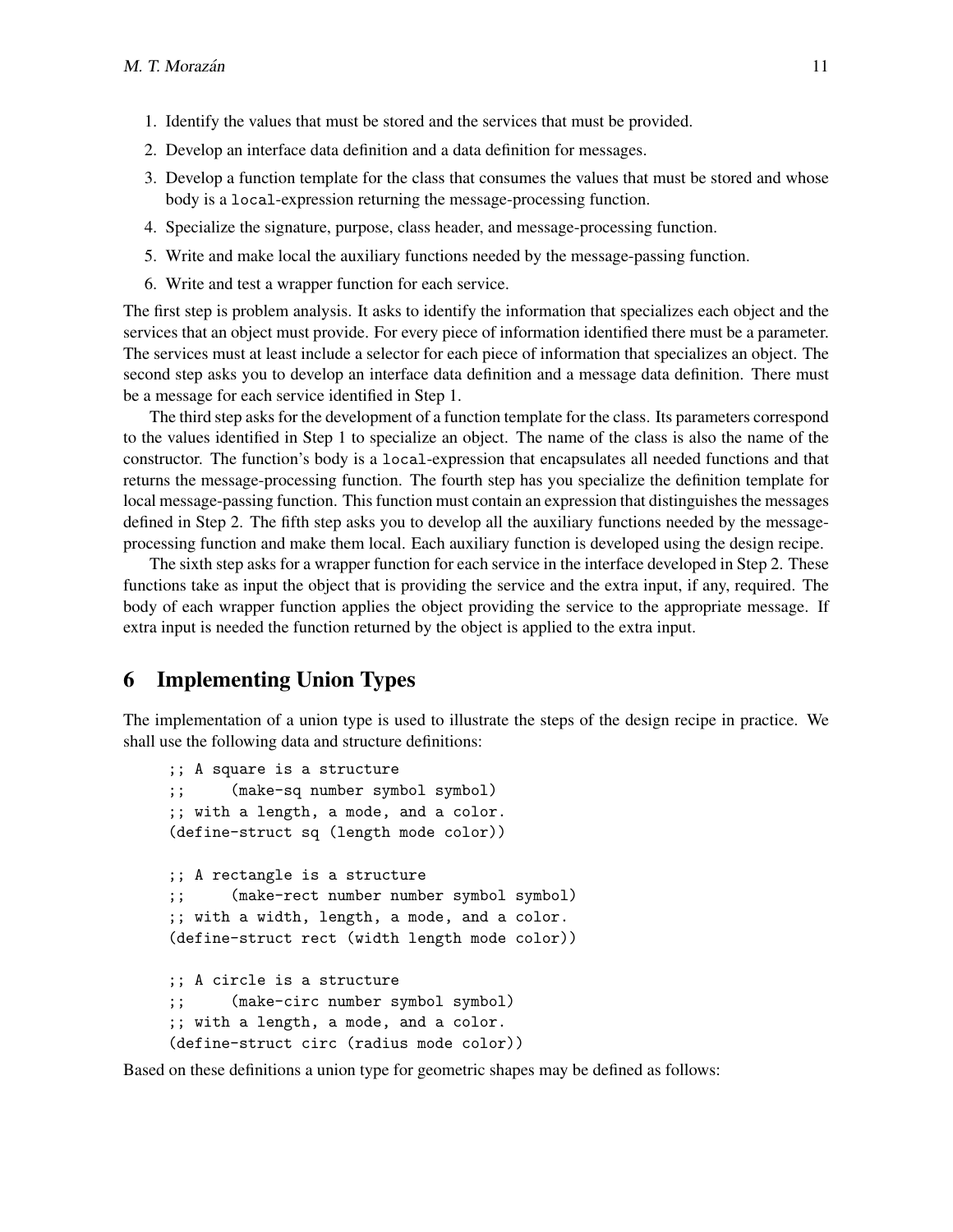- 1. Identify the values that must be stored and the services that must be provided.
- 2. Develop an interface data definition and a data definition for messages.
- 3. Develop a function template for the class that consumes the values that must be stored and whose body is a local-expression returning the message-processing function.
- 4. Specialize the signature, purpose, class header, and message-processing function.
- 5. Write and make local the auxiliary functions needed by the message-passing function.
- 6. Write and test a wrapper function for each service.

The first step is problem analysis. It asks to identify the information that specializes each object and the services that an object must provide. For every piece of information identified there must be a parameter. The services must at least include a selector for each piece of information that specializes an object. The second step asks you to develop an interface data definition and a message data definition. There must be a message for each service identified in Step 1.

The third step asks for the development of a function template for the class. Its parameters correspond to the values identified in Step 1 to specialize an object. The name of the class is also the name of the constructor. The function's body is a local-expression that encapsulates all needed functions and that returns the message-processing function. The fourth step has you specialize the definition template for local message-passing function. This function must contain an expression that distinguishes the messages defined in Step 2. The fifth step asks you to develop all the auxiliary functions needed by the messageprocessing function and make them local. Each auxiliary function is developed using the design recipe.

The sixth step asks for a wrapper function for each service in the interface developed in Step 2. These functions take as input the object that is providing the service and the extra input, if any, required. The body of each wrapper function applies the object providing the service to the appropriate message. If extra input is needed the function returned by the object is applied to the extra input.

## <span id="page-10-0"></span>6 Implementing Union Types

The implementation of a union type is used to illustrate the steps of the design recipe in practice. We shall use the following data and structure definitions:

```
;; A square is a structure
;; (make-sq number symbol symbol)
;; with a length, a mode, and a color.
(define-struct sq (length mode color))
;; A rectangle is a structure
;; (make-rect number number symbol symbol)
;; with a width, length, a mode, and a color.
(define-struct rect (width length mode color))
;; A circle is a structure
;; (make-circ number symbol symbol)
;; with a length, a mode, and a color.
(define-struct circ (radius mode color))
```
Based on these definitions a union type for geometric shapes may be defined as follows: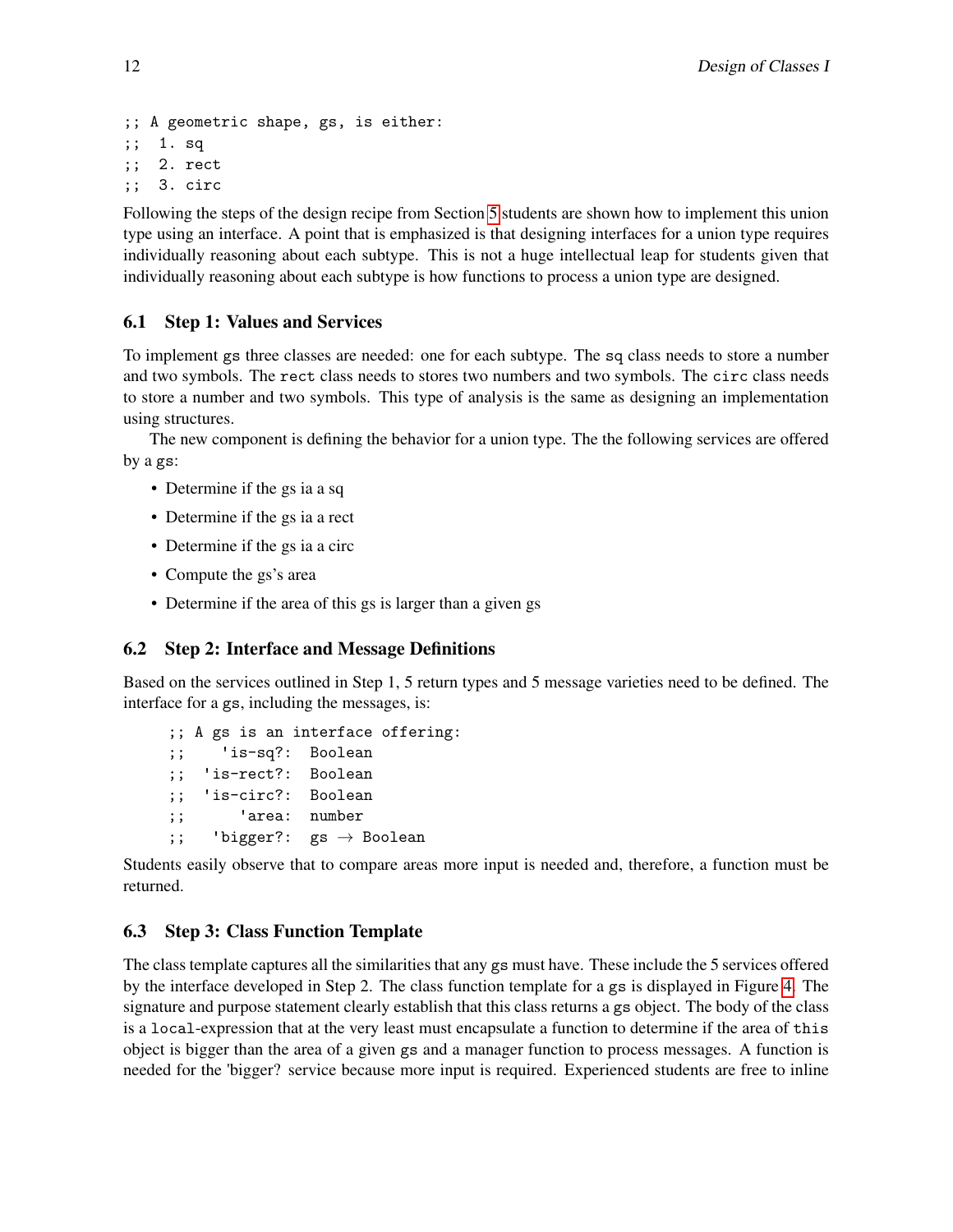```
;; A geometric shape, gs, is either:
;; 1. sq
;; 2. rect
;; 3. circ
```
Following the steps of the design recipe from Section [5](#page-9-0) students are shown how to implement this union type using an interface. A point that is emphasized is that designing interfaces for a union type requires individually reasoning about each subtype. This is not a huge intellectual leap for students given that individually reasoning about each subtype is how functions to process a union type are designed.

### 6.1 Step 1: Values and Services

To implement gs three classes are needed: one for each subtype. The sq class needs to store a number and two symbols. The rect class needs to stores two numbers and two symbols. The circ class needs to store a number and two symbols. This type of analysis is the same as designing an implementation using structures.

The new component is defining the behavior for a union type. The the following services are offered by a gs:

- Determine if the gs ia a sq
- Determine if the gs ia a rect
- Determine if the gs ia a circ
- Compute the gs's area
- Determine if the area of this gs is larger than a given gs

### 6.2 Step 2: Interface and Message Definitions

Based on the services outlined in Step 1, 5 return types and 5 message varieties need to be defined. The interface for a gs, including the messages, is:

```
;; A gs is an interface offering:
;; 'is-sq?: Boolean
;; 'is-rect?: Boolean
;; 'is-circ?: Boolean
;; 'area: number
;; 'bigger?: gs \rightarrow Boolean
```
Students easily observe that to compare areas more input is needed and, therefore, a function must be returned.

## 6.3 Step 3: Class Function Template

The class template captures all the similarities that any gs must have. These include the 5 services offered by the interface developed in Step 2. The class function template for a gs is displayed in Figure [4.](#page-12-0) The signature and purpose statement clearly establish that this class returns a gs object. The body of the class is a local-expression that at the very least must encapsulate a function to determine if the area of this object is bigger than the area of a given gs and a manager function to process messages. A function is needed for the 'bigger? service because more input is required. Experienced students are free to inline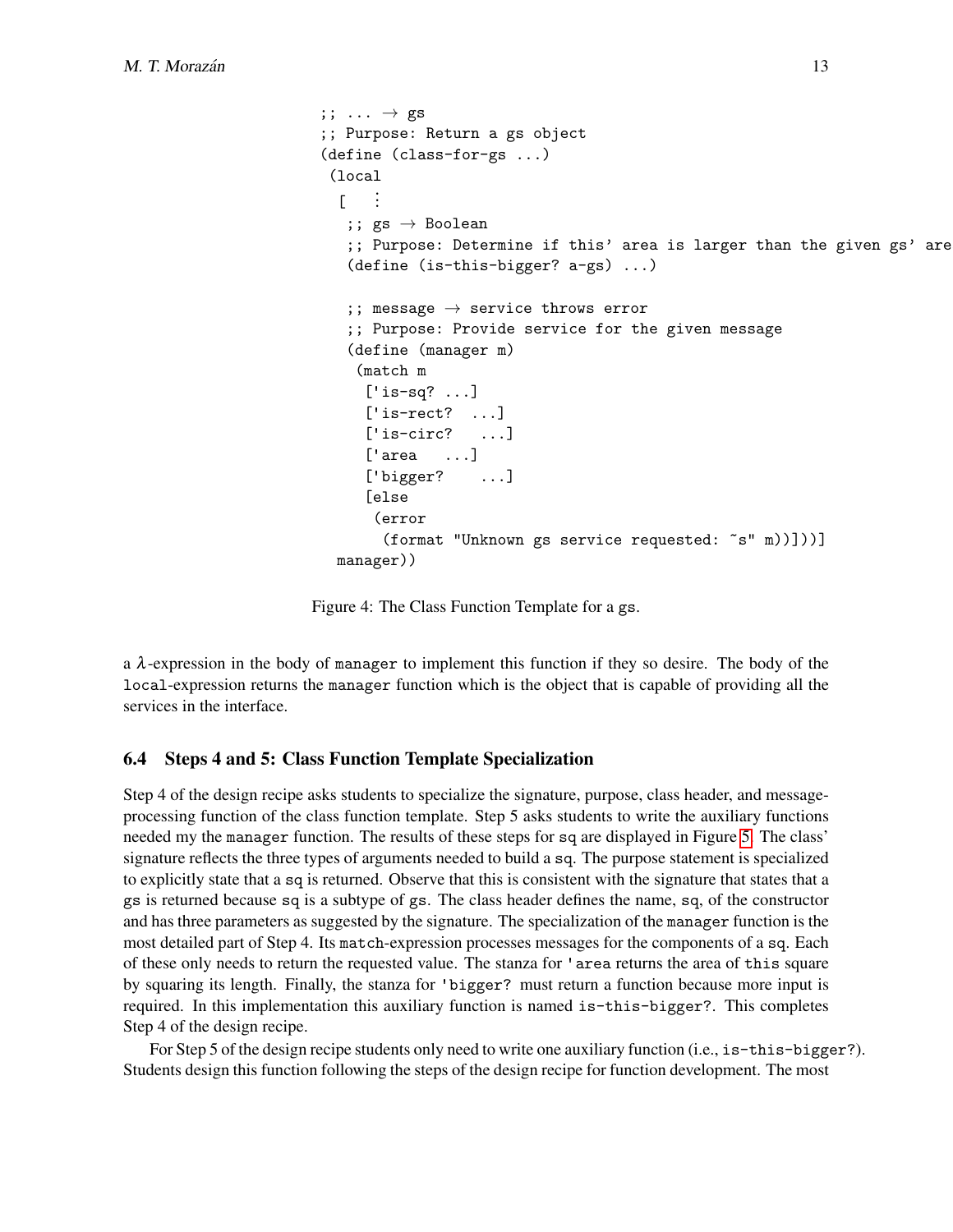```
;; \ldots \rightarrow gs
;; Purpose: Return a gs object
(define (class-for-gs ...)
 (local
  \Gamma...
   ;; gs \rightarrow Boolean;; Purpose: Determine if this' area is larger than the given gs' are
   (define (is-this-bigger? a-gs) ...)
   ;; message \rightarrow service throws error
   ;; Purpose: Provide service for the given message
   (define (manager m)
    (match m
     ['is-sq? ...]
     [i] is-rect? ...]
     ['is-circ? ...]
     ['area ...]
     ['bigger? ...]
     [else
      (error
       (format "Unknown gs service requested: ~s" m))]))]
  manager))
```
Figure 4: The Class Function Template for a gs.

a  $\lambda$ -expression in the body of manager to implement this function if they so desire. The body of the local-expression returns the manager function which is the object that is capable of providing all the services in the interface.

#### 6.4 Steps 4 and 5: Class Function Template Specialization

Step 4 of the design recipe asks students to specialize the signature, purpose, class header, and messageprocessing function of the class function template. Step 5 asks students to write the auxiliary functions needed my the manager function. The results of these steps for sq are displayed in Figure [5.](#page-13-0) The class' signature reflects the three types of arguments needed to build a sq. The purpose statement is specialized to explicitly state that a sq is returned. Observe that this is consistent with the signature that states that a gs is returned because sq is a subtype of gs. The class header defines the name, sq, of the constructor and has three parameters as suggested by the signature. The specialization of the manager function is the most detailed part of Step 4. Its match-expression processes messages for the components of a sq. Each of these only needs to return the requested value. The stanza for 'area returns the area of this square by squaring its length. Finally, the stanza for 'bigger? must return a function because more input is required. In this implementation this auxiliary function is named is-this-bigger?. This completes Step 4 of the design recipe.

For Step 5 of the design recipe students only need to write one auxiliary function (i.e., is-this-bigger?). Students design this function following the steps of the design recipe for function development. The most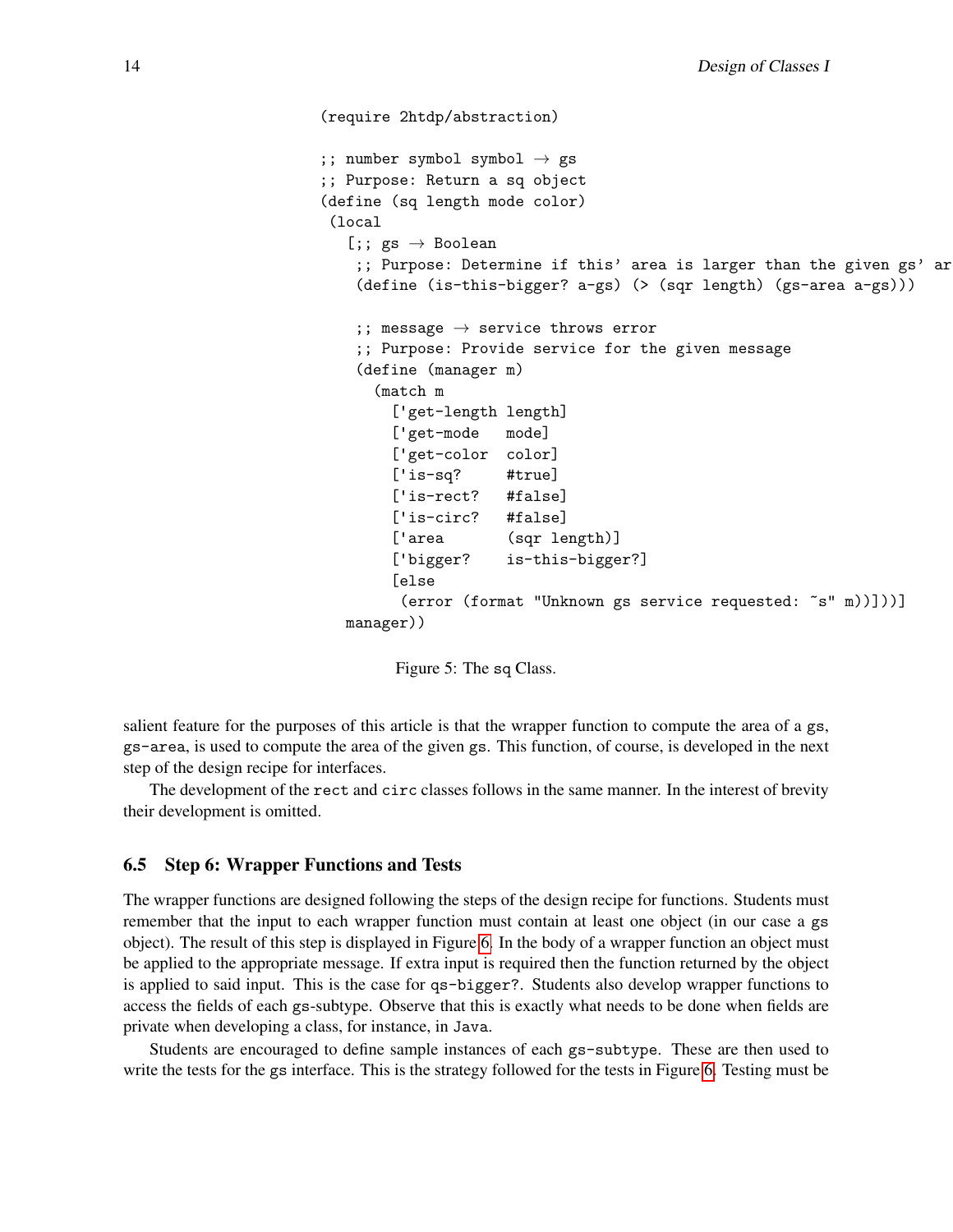```
(require 2htdp/abstraction)
;; number symbol symbol \rightarrow gs
;; Purpose: Return a sq object
(define (sq length mode color)
(local
  [;; gs \rightarrow Boolean;; Purpose: Determine if this' area is larger than the given gs' ar
   (define (is-this-bigger? a-gs) (> (sqr length) (gs-area a-gs)))
   ;; message \rightarrow service throws error
   ;; Purpose: Provide service for the given message
   (define (manager m)
      (match m
        ['get-length length]
        ['get-mode mode]
        ['get-color color]
        ['is-sq? #true]
        ['is-rect? #false]
        ['is-circ? #false]
        ['area (sqr length)]
        ['bigger? is-this-bigger?]
        [else
         (error (format "Unknown gs service requested: ~s" m))]))]
  manager))
```
Figure 5: The sq Class.

salient feature for the purposes of this article is that the wrapper function to compute the area of a gs, gs-area, is used to compute the area of the given gs. This function, of course, is developed in the next step of the design recipe for interfaces.

The development of the rect and circ classes follows in the same manner. In the interest of brevity their development is omitted.

#### 6.5 Step 6: Wrapper Functions and Tests

The wrapper functions are designed following the steps of the design recipe for functions. Students must remember that the input to each wrapper function must contain at least one object (in our case a gs object). The result of this step is displayed in Figure [6.](#page-14-0) In the body of a wrapper function an object must be applied to the appropriate message. If extra input is required then the function returned by the object is applied to said input. This is the case for qs-bigger?. Students also develop wrapper functions to access the fields of each gs-subtype. Observe that this is exactly what needs to be done when fields are private when developing a class, for instance, in Java.

Students are encouraged to define sample instances of each gs-subtype. These are then used to write the tests for the gs interface. This is the strategy followed for the tests in Figure [6.](#page-14-0) Testing must be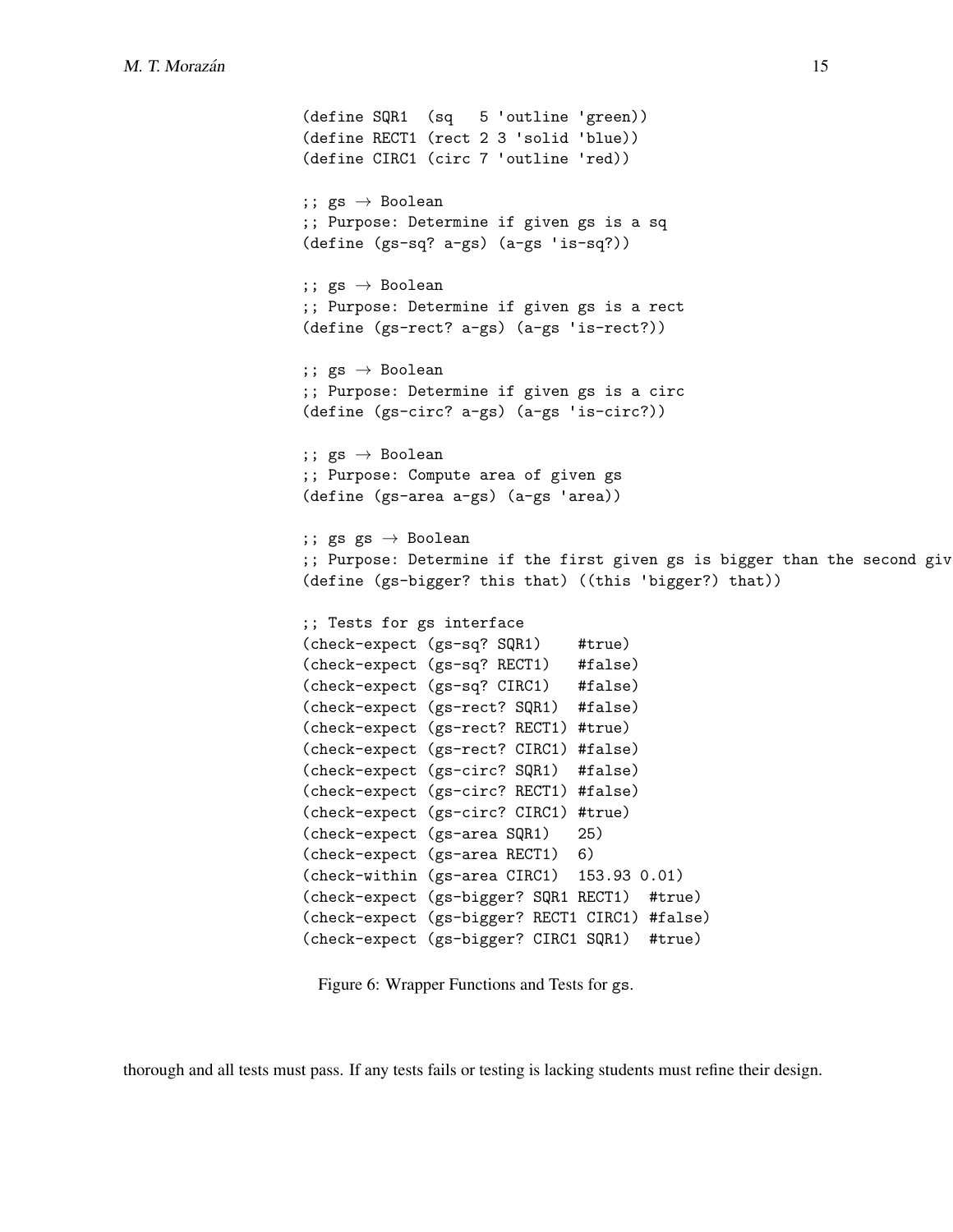```
(define SQR1 (sq 5 'outline 'green))
(define RECT1 (rect 2 3 'solid 'blue))
(define CIRC1 (circ 7 'outline 'red))
;; gs \rightarrow Boolean;; Purpose: Determine if given gs is a sq
(define (gs-sq? a-gs) (a-gs 'is-sq?))
;; gs \rightarrow Boolean;; Purpose: Determine if given gs is a rect
(define (gs-rect? a-gs) (a-gs 'is-rect?))
;; gs \rightarrow Boolean;; Purpose: Determine if given gs is a circ
(define (gs-circ? a-gs) (a-gs 'is-circ?))
;; gs \rightarrow Boolean;; Purpose: Compute area of given gs
(define (gs-area a-gs) (a-gs 'area))
;; gs gs \rightarrow Boolean
;; Purpose: Determine if the first given gs is bigger than the second giv
(define (gs-bigger? this that) ((this 'bigger?) that))
;; Tests for gs interface
(check-expect (gs-sq? SQR1) #true)
(check-expect (gs-sq? RECT1) #false)
(check-expect (gs-sq? CIRC1) #false)
(check-expect (gs-rect? SQR1) #false)
(check-expect (gs-rect? RECT1) #true)
(check-expect (gs-rect? CIRC1) #false)
(check-expect (gs-circ? SQR1) #false)
(check-expect (gs-circ? RECT1) #false)
(check-expect (gs-circ? CIRC1) #true)
(check-expect (gs-area SQR1) 25)
(check-expect (gs-area RECT1) 6)
(check-within (gs-area CIRC1) 153.93 0.01)
(check-expect (gs-bigger? SQR1 RECT1) #true)
(check-expect (gs-bigger? RECT1 CIRC1) #false)
(check-expect (gs-bigger? CIRC1 SQR1) #true)
```
Figure 6: Wrapper Functions and Tests for gs.

thorough and all tests must pass. If any tests fails or testing is lacking students must refine their design.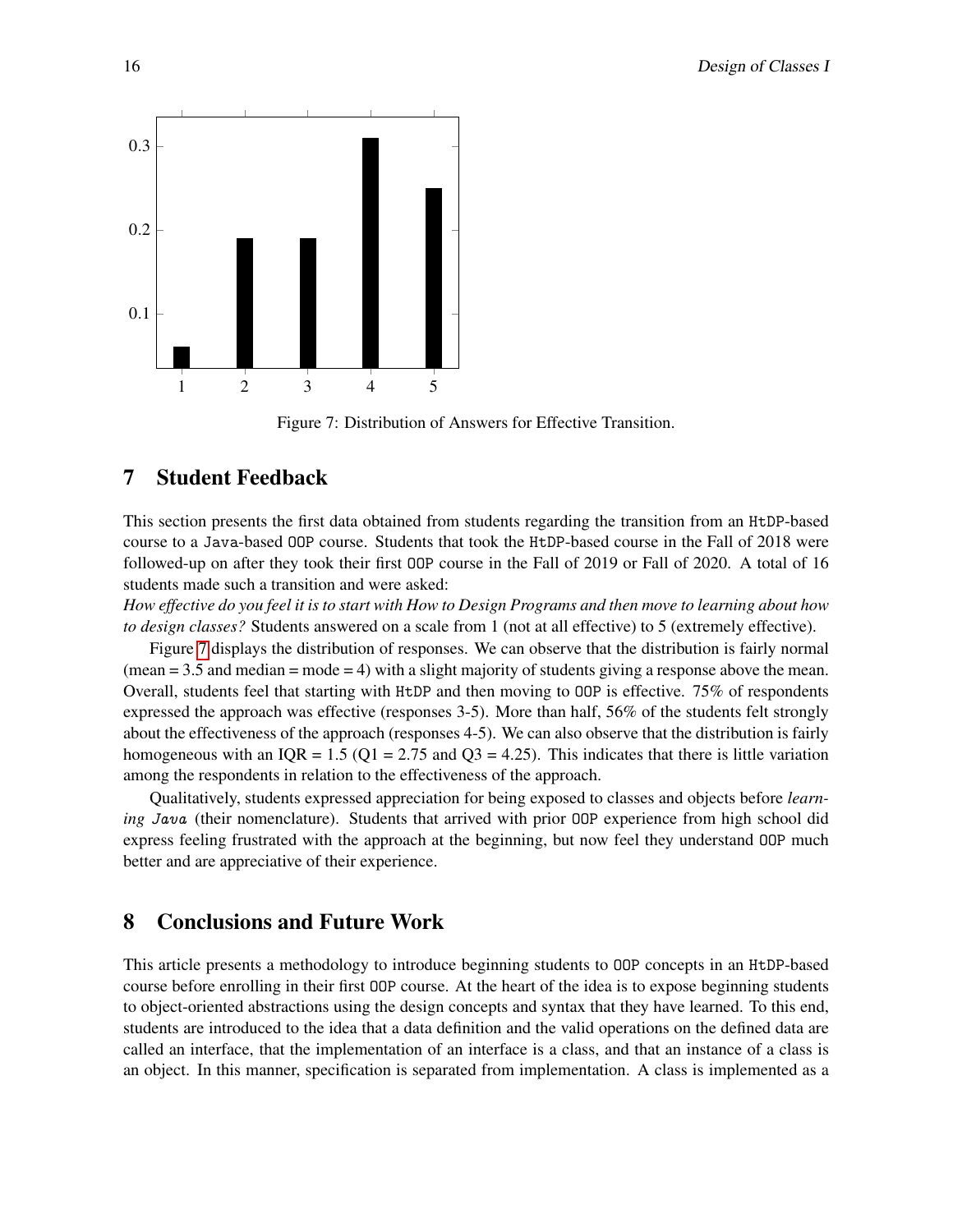<span id="page-15-2"></span>

Figure 7: Distribution of Answers for Effective Transition.

## <span id="page-15-0"></span>7 Student Feedback

This section presents the first data obtained from students regarding the transition from an HtDP-based course to a Java-based OOP course. Students that took the HtDP-based course in the Fall of 2018 were followed-up on after they took their first OOP course in the Fall of 2019 or Fall of 2020. A total of 16 students made such a transition and were asked:

*How effective do you feel it is to start with How to Design Programs and then move to learning about how to design classes?* Students answered on a scale from 1 (not at all effective) to 5 (extremely effective).

Figure [7](#page-15-2) displays the distribution of responses. We can observe that the distribution is fairly normal  $(\text{mean} = 3.5 \text{ and median} = \text{mode} = 4)$  with a slight majority of students giving a response above the mean. Overall, students feel that starting with HtDP and then moving to OOP is effective. 75% of respondents expressed the approach was effective (responses 3-5). More than half, 56% of the students felt strongly about the effectiveness of the approach (responses 4-5). We can also observe that the distribution is fairly homogeneous with an IQR = 1.5 (Q1 = 2.75 and Q3 = 4.25). This indicates that there is little variation among the respondents in relation to the effectiveness of the approach.

Qualitatively, students expressed appreciation for being exposed to classes and objects before *learning* Java (their nomenclature). Students that arrived with prior OOP experience from high school did express feeling frustrated with the approach at the beginning, but now feel they understand OOP much better and are appreciative of their experience.

## <span id="page-15-1"></span>8 Conclusions and Future Work

This article presents a methodology to introduce beginning students to OOP concepts in an HtDP-based course before enrolling in their first OOP course. At the heart of the idea is to expose beginning students to object-oriented abstractions using the design concepts and syntax that they have learned. To this end, students are introduced to the idea that a data definition and the valid operations on the defined data are called an interface, that the implementation of an interface is a class, and that an instance of a class is an object. In this manner, specification is separated from implementation. A class is implemented as a